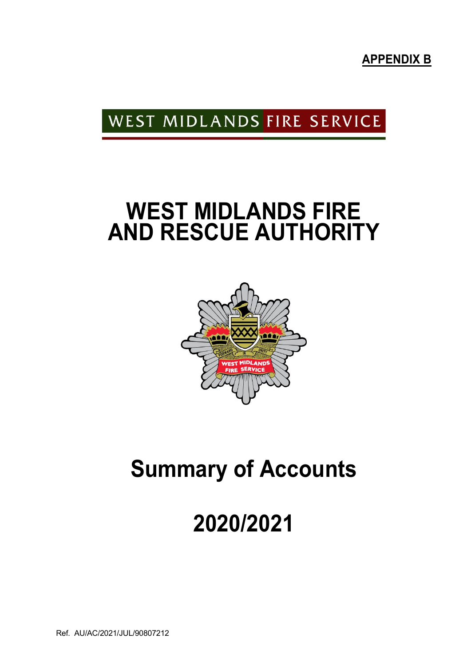**APPENDIX B** 

### WEST MIDLANDS FIRE SERVICE

## **WEST MIDLANDS FIRE AND RESCUE AUTHORITY**



## **Summary of Accounts**

# **2020/2021**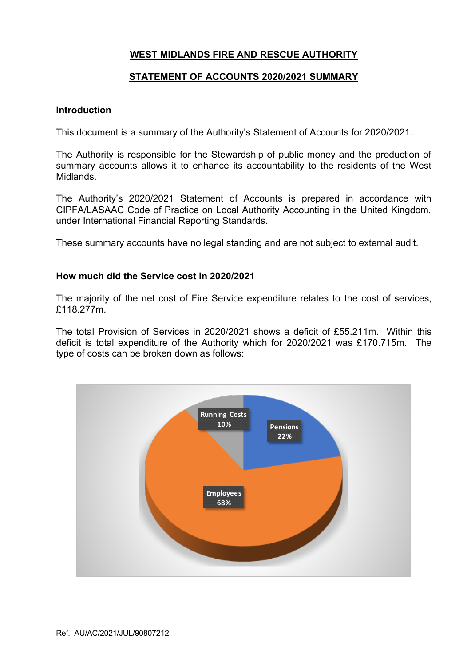#### **WEST MIDLANDS FIRE AND RESCUE AUTHORITY**

#### **STATEMENT OF ACCOUNTS 2020/2021 SUMMARY**

#### **Introduction**

This document is a summary of the Authority's Statement of Accounts for 2020/2021.

The Authority is responsible for the Stewardship of public money and the production of summary accounts allows it to enhance its accountability to the residents of the West Midlands.

The Authority's 2020/2021 Statement of Accounts is prepared in accordance with CIPFA/LASAAC Code of Practice on Local Authority Accounting in the United Kingdom, under International Financial Reporting Standards.

These summary accounts have no legal standing and are not subject to external audit.

#### **How much did the Service cost in 2020/2021**

The majority of the net cost of Fire Service expenditure relates to the cost of services, £118.277m.

The total Provision of Services in 2020/2021 shows a deficit of £55.211m. Within this deficit is total expenditure of the Authority which for 2020/2021 was £170.715m. The type of costs can be broken down as follows:

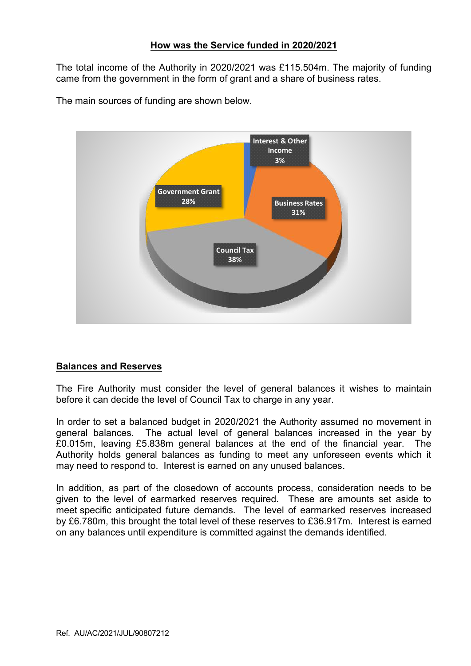#### **How was the Service funded in 2020/2021**

The total income of the Authority in 2020/2021 was £115.504m. The majority of funding came from the government in the form of grant and a share of business rates.

The main sources of funding are shown below.



#### **Balances and Reserves**

The Fire Authority must consider the level of general balances it wishes to maintain before it can decide the level of Council Tax to charge in any year.

In order to set a balanced budget in 2020/2021 the Authority assumed no movement in general balances. The actual level of general balances increased in the year by £0.015m, leaving £5.838m general balances at the end of the financial year. The Authority holds general balances as funding to meet any unforeseen events which it may need to respond to. Interest is earned on any unused balances.

In addition, as part of the closedown of accounts process, consideration needs to be given to the level of earmarked reserves required. These are amounts set aside to meet specific anticipated future demands. The level of earmarked reserves increased by £6.780m, this brought the total level of these reserves to £36.917m. Interest is earned on any balances until expenditure is committed against the demands identified.